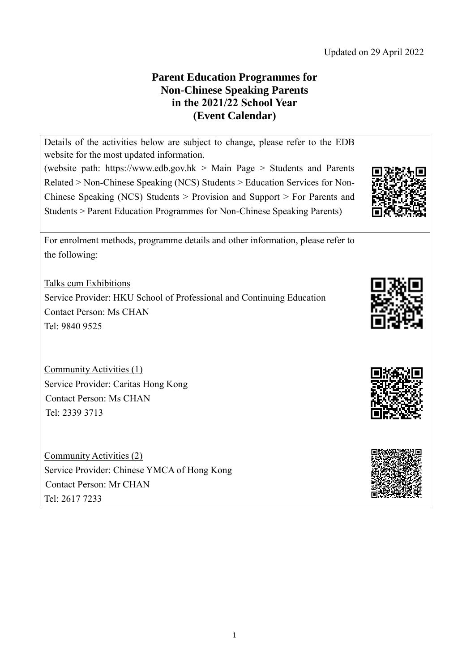## **Parent Education Programmes for Non-Chinese Speaking Parents in the 2021/22 School Year (Event Calendar)**

Details of the activities below are subject to change, please refer to the EDB website for the most updated information.

(website path: [https://www.edb.gov.hk](https://www.edb.gov.hk/) > Main Page > Students and Parents Related > Non-Chinese Speaking (NCS) Students > Education Services for Non-Chinese Speaking (NCS) Students > Provision and Support > For Parents and Students > Parent Education Programmes for Non-Chinese Speaking Parents)

For enrolment methods, programme details and other information, please refer to the following:

Talks cum Exhibitions Service Provider: HKU School of Professional and Continuing Education Contact Person: Ms CHAN Tel: 9840 9525

Community Activities (1) Service Provider: Caritas Hong Kong Contact Person: Ms CHAN Tel: 2339 3713

Community Activities (2) Service Provider: Chinese YMCA of Hong Kong Contact Person: Mr CHAN Tel: 2617 7233





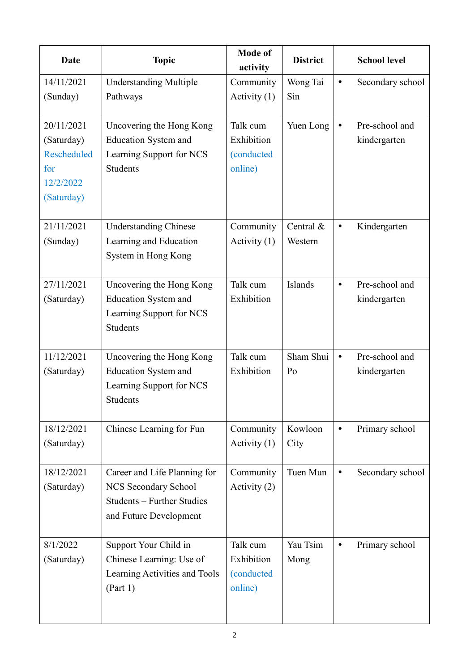| <b>Date</b>                                                               | <b>Topic</b>                                                                                                        | <b>Mode of</b><br>activity                      | <b>District</b>      |           | <b>School level</b>            |
|---------------------------------------------------------------------------|---------------------------------------------------------------------------------------------------------------------|-------------------------------------------------|----------------------|-----------|--------------------------------|
| 14/11/2021<br>(Sunday)                                                    | <b>Understanding Multiple</b><br>Pathways                                                                           | Community<br>Activity $(1)$                     | Wong Tai<br>Sin      | $\bullet$ | Secondary school               |
| 20/11/2021<br>(Saturday)<br>Rescheduled<br>for<br>12/2/2022<br>(Saturday) | Uncovering the Hong Kong<br><b>Education System and</b><br>Learning Support for NCS<br><b>Students</b>              | Talk cum<br>Exhibition<br>(conducted<br>online) | Yuen Long            | $\bullet$ | Pre-school and<br>kindergarten |
| 21/11/2021<br>(Sunday)                                                    | <b>Understanding Chinese</b><br>Learning and Education<br>System in Hong Kong                                       | Community<br>Activity $(1)$                     | Central &<br>Western | $\bullet$ | Kindergarten                   |
| 27/11/2021<br>(Saturday)                                                  | Uncovering the Hong Kong<br><b>Education System and</b><br>Learning Support for NCS<br>Students                     | Talk cum<br>Exhibition                          | Islands              | $\bullet$ | Pre-school and<br>kindergarten |
| 11/12/2021<br>(Saturday)                                                  | Uncovering the Hong Kong<br><b>Education System and</b><br>Learning Support for NCS<br>Students                     | Talk cum<br>Exhibition                          | Sham Shui<br>Po      | $\bullet$ | Pre-school and<br>kindergarten |
| 18/12/2021<br>(Saturday)                                                  | Chinese Learning for Fun                                                                                            | Community<br>Activity (1)                       | Kowloon<br>City      | $\bullet$ | Primary school                 |
| 18/12/2021<br>(Saturday)                                                  | Career and Life Planning for<br><b>NCS Secondary School</b><br>Students - Further Studies<br>and Future Development | Community<br>Activity (2)                       | Tuen Mun             | $\bullet$ | Secondary school               |
| 8/1/2022<br>(Saturday)                                                    | Support Your Child in<br>Chinese Learning: Use of<br>Learning Activities and Tools<br>(Part 1)                      | Talk cum<br>Exhibition<br>(conducted<br>online) | Yau Tsim<br>Mong     | $\bullet$ | Primary school                 |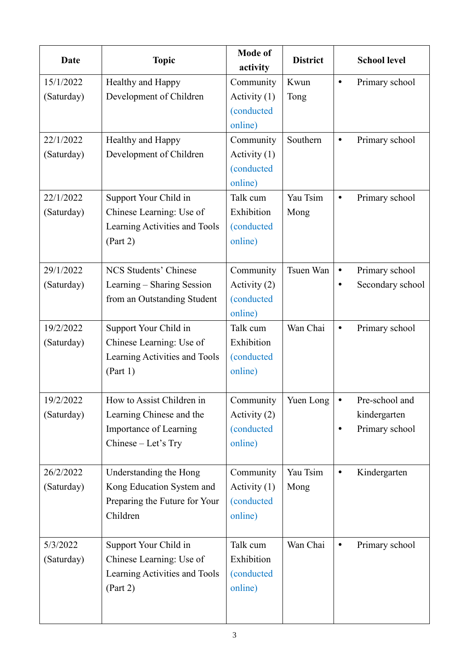| Date       | <b>Topic</b>                  | <b>Mode of</b><br>activity | <b>District</b> |           | <b>School level</b> |
|------------|-------------------------------|----------------------------|-----------------|-----------|---------------------|
| 15/1/2022  | Healthy and Happy             | Community                  | Kwun            | $\bullet$ | Primary school      |
| (Saturday) | Development of Children       | Activity $(1)$             | Tong            |           |                     |
|            |                               | (conducted                 |                 |           |                     |
|            |                               | online)                    |                 |           |                     |
| 22/1/2022  | Healthy and Happy             | Community                  | Southern        | $\bullet$ | Primary school      |
| (Saturday) | Development of Children       | Activity $(1)$             |                 |           |                     |
|            |                               | (conducted                 |                 |           |                     |
|            |                               | online)                    |                 |           |                     |
| 22/1/2022  | Support Your Child in         | Talk cum                   | Yau Tsim        | $\bullet$ | Primary school      |
| (Saturday) | Chinese Learning: Use of      | Exhibition                 | Mong            |           |                     |
|            | Learning Activities and Tools | (conducted                 |                 |           |                     |
|            | (Part 2)                      | online)                    |                 |           |                     |
| 29/1/2022  | <b>NCS Students' Chinese</b>  | Community                  | Tsuen Wan       | $\bullet$ | Primary school      |
| (Saturday) | Learning – Sharing Session    | Activity (2)               |                 | $\bullet$ | Secondary school    |
|            | from an Outstanding Student   | (conducted                 |                 |           |                     |
|            |                               | online)                    |                 |           |                     |
| 19/2/2022  | Support Your Child in         | Talk cum                   | Wan Chai        | $\bullet$ | Primary school      |
| (Saturday) | Chinese Learning: Use of      | Exhibition                 |                 |           |                     |
|            | Learning Activities and Tools | <i>(conducted)</i>         |                 |           |                     |
|            | (Part 1)                      | online)                    |                 |           |                     |
| 19/2/2022  | How to Assist Children in     | Community                  | Yuen Long       |           | Pre-school and      |
| (Saturday) | Learning Chinese and the      | Activity (2)               |                 |           | kindergarten        |
|            | Importance of Learning        | <i>(conducted)</i>         |                 | $\bullet$ | Primary school      |
|            | Chinese - Let's Try           | online)                    |                 |           |                     |
| 26/2/2022  | Understanding the Hong        | Community                  | Yau Tsim        | $\bullet$ | Kindergarten        |
| (Saturday) | Kong Education System and     | Activity $(1)$             | Mong            |           |                     |
|            | Preparing the Future for Your | <i>(conducted)</i>         |                 |           |                     |
|            | Children                      | online)                    |                 |           |                     |
| 5/3/2022   | Support Your Child in         | Talk cum                   | Wan Chai        | $\bullet$ | Primary school      |
| (Saturday) | Chinese Learning: Use of      | Exhibition                 |                 |           |                     |
|            | Learning Activities and Tools | <i>(conducted)</i>         |                 |           |                     |
|            | (Part 2)                      | online)                    |                 |           |                     |
|            |                               |                            |                 |           |                     |
|            |                               |                            |                 |           |                     |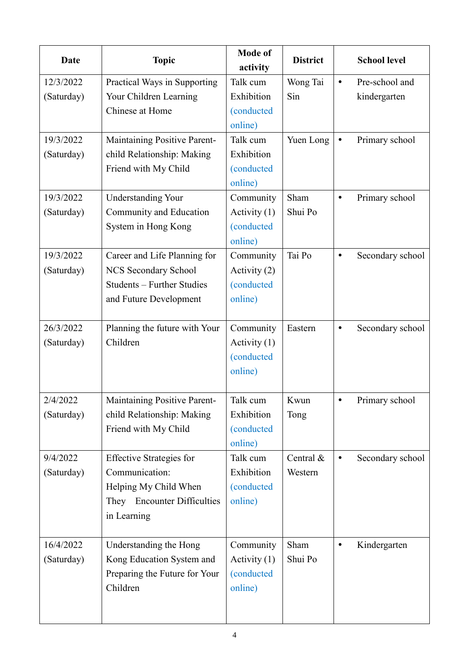| <b>Date</b> | <b>Topic</b>                    | <b>Mode of</b><br>activity | <b>District</b> |           | <b>School level</b> |
|-------------|---------------------------------|----------------------------|-----------------|-----------|---------------------|
| 12/3/2022   | Practical Ways in Supporting    | Talk cum                   | Wong Tai        | $\bullet$ | Pre-school and      |
| (Saturday)  | Your Children Learning          | Exhibition                 | Sin             |           | kindergarten        |
|             | Chinese at Home                 | (conducted                 |                 |           |                     |
|             |                                 | online)                    |                 |           |                     |
| 19/3/2022   | Maintaining Positive Parent-    | Talk cum                   | Yuen Long       | $\bullet$ | Primary school      |
| (Saturday)  | child Relationship: Making      | Exhibition                 |                 |           |                     |
|             | Friend with My Child            | (conducted                 |                 |           |                     |
|             |                                 | online)                    |                 |           |                     |
| 19/3/2022   | <b>Understanding Your</b>       | Community                  | Sham            | $\bullet$ | Primary school      |
| (Saturday)  | Community and Education         | Activity $(1)$             | Shui Po         |           |                     |
|             | System in Hong Kong             | (conducted                 |                 |           |                     |
|             |                                 | online)                    |                 |           |                     |
| 19/3/2022   | Career and Life Planning for    | Community                  | Tai Po          | $\bullet$ | Secondary school    |
| (Saturday)  | NCS Secondary School            | Activity (2)               |                 |           |                     |
|             | Students - Further Studies      | (conducted                 |                 |           |                     |
|             | and Future Development          | online)                    |                 |           |                     |
| 26/3/2022   | Planning the future with Your   | Community                  | Eastern         | ٠         | Secondary school    |
| (Saturday)  | Children                        | Activity $(1)$             |                 |           |                     |
|             |                                 | (conducted                 |                 |           |                     |
|             |                                 | online)                    |                 |           |                     |
| 2/4/2022    | Maintaining Positive Parent-    | Talk cum                   | Kwun            |           | Primary school      |
| (Saturday)  | child Relationship: Making      | Exhibition                 | Tong            |           |                     |
|             | Friend with My Child            | <i>(conducted)</i>         |                 |           |                     |
|             |                                 | online)                    |                 |           |                     |
| 9/4/2022    | <b>Effective Strategies for</b> | Talk cum                   | Central $\&$    | $\bullet$ | Secondary school    |
| (Saturday)  | Communication:                  | Exhibition                 | Western         |           |                     |
|             | Helping My Child When           | <i>(conducted)</i>         |                 |           |                     |
|             | They Encounter Difficulties     | online)                    |                 |           |                     |
|             | in Learning                     |                            |                 |           |                     |
|             |                                 |                            |                 |           |                     |
| 16/4/2022   | Understanding the Hong          | Community                  | Sham            | $\bullet$ | Kindergarten        |
| (Saturday)  | Kong Education System and       | Activity $(1)$             | Shui Po         |           |                     |
|             | Preparing the Future for Your   | <i>(conducted)</i>         |                 |           |                     |
|             | Children                        | online)                    |                 |           |                     |
|             |                                 |                            |                 |           |                     |
|             |                                 |                            |                 |           |                     |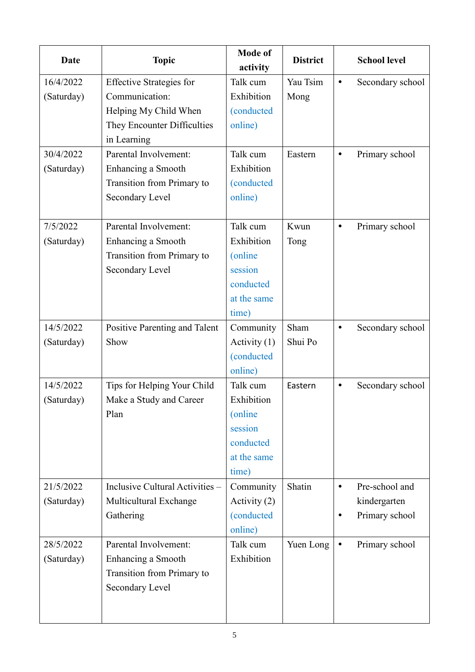| Date       | <b>Topic</b>                    | <b>Mode of</b><br>activity | <b>District</b> |           | <b>School level</b> |
|------------|---------------------------------|----------------------------|-----------------|-----------|---------------------|
| 16/4/2022  | <b>Effective Strategies for</b> | Talk cum                   | Yau Tsim        | $\bullet$ | Secondary school    |
| (Saturday) | Communication:                  | Exhibition                 | Mong            |           |                     |
|            | Helping My Child When           | <i>(conducted)</i>         |                 |           |                     |
|            | They Encounter Difficulties     | online)                    |                 |           |                     |
|            | in Learning                     |                            |                 |           |                     |
| 30/4/2022  | Parental Involvement:           | Talk cum                   | Eastern         | $\bullet$ | Primary school      |
| (Saturday) | Enhancing a Smooth              | Exhibition                 |                 |           |                     |
|            | Transition from Primary to      | <i>(conducted)</i>         |                 |           |                     |
|            | Secondary Level                 | online)                    |                 |           |                     |
|            |                                 |                            |                 |           |                     |
| 7/5/2022   | Parental Involvement:           | Talk cum                   | Kwun            | $\bullet$ | Primary school      |
| (Saturday) | Enhancing a Smooth              | Exhibition                 | Tong            |           |                     |
|            | Transition from Primary to      | (online)                   |                 |           |                     |
|            | Secondary Level                 | session                    |                 |           |                     |
|            |                                 | conducted                  |                 |           |                     |
|            |                                 | at the same                |                 |           |                     |
|            |                                 | time)                      |                 |           |                     |
| 14/5/2022  | Positive Parenting and Talent   | Community                  | Sham            | $\bullet$ | Secondary school    |
| (Saturday) | Show                            | Activity $(1)$             | Shui Po         |           |                     |
|            |                                 | <i>(conducted)</i>         |                 |           |                     |
|            |                                 | online)                    |                 |           |                     |
| 14/5/2022  | Tips for Helping Your Child     | Talk cum                   | Eastern         | $\bullet$ | Secondary school    |
| (Saturday) | Make a Study and Career         | Exhibition                 |                 |           |                     |
|            | Plan                            | (online)                   |                 |           |                     |
|            |                                 | session                    |                 |           |                     |
|            |                                 | conducted                  |                 |           |                     |
|            |                                 | at the same                |                 |           |                     |
|            |                                 | time)                      |                 |           |                     |
| 21/5/2022  | Inclusive Cultural Activities - | Community                  | Shatin          | $\bullet$ | Pre-school and      |
| (Saturday) | Multicultural Exchange          | Activity (2)               |                 |           | kindergarten        |
|            | Gathering                       | <i>(conducted)</i>         |                 | $\bullet$ | Primary school      |
|            |                                 | online)                    |                 |           |                     |
| 28/5/2022  | Parental Involvement:           | Talk cum                   | Yuen Long       | $\bullet$ | Primary school      |
| (Saturday) | Enhancing a Smooth              | Exhibition                 |                 |           |                     |
|            | Transition from Primary to      |                            |                 |           |                     |
|            | Secondary Level                 |                            |                 |           |                     |
|            |                                 |                            |                 |           |                     |
|            |                                 |                            |                 |           |                     |